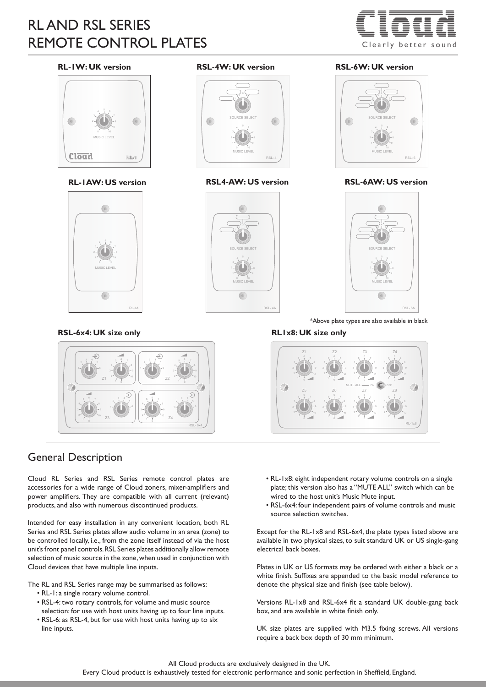# RL AND RSL SERIES REMOTE CONTROL PLATES



RSL- 6

 $3^4$ 

SOURCE SELECT  $4 \frac{5}{1} \frac{6}{1}$ 

 $\sqrt{c}$ 

0 10

#### **RL-1W: UK version**





**RSL-6x4: UK size only RL1x8: UK size only**



## General Description

Cloud RL Series and RSL Series remote control plates are accessories for a wide range of Cloud zoners, mixer-amplifiers and power amplifiers. They are compatible with all current (relevant) products, and also with numerous discontinued products.

Intended for easy installation in any convenient location, both RL Series and RSL Series plates allow audio volume in an area (zone) to be controlled locally, i.e., from the zone itself instead of via the host unit's front panel controls. RSL Series plates additionally allow remote selection of music source in the zone, when used in conjunction with Cloud devices that have multiple line inputs.

The RL and RSL Series range may be summarised as follows:

- RL-1: a single rotary volume control.
- RSL-4: two rotary controls, for volume and music source selection: for use with host units having up to four line inputs.
- RSL-6: as RSL-4, but for use with host units having up to six line inputs.

#### **RSL-4W: UK version RSL-6W: UK version**







\*Above plate types are also available in black



- RL-1x8: eight independent rotary volume controls on a single plate; this version also has a "MUTE ALL" switch which can be wired to the host unit's Music Mute input.
- RSL-6x4: four independent pairs of volume controls and music source selection switches.

Except for the RL-1x8 and RSL-6x4, the plate types listed above are available in two physical sizes, to suit standard UK or US single-gang electrical back boxes.

Plates in UK or US formats may be ordered with either a black or a white finish. Suffixes are appended to the basic model reference to denote the physical size and finish (see table below).

Versions RL-1x8 and RSL-6x4 fit a standard UK double-gang back box, and are available in white finish only.

UK size plates are supplied with M3.5 fixing screws. All versions require a back box depth of 30 mm minimum.

#### All Cloud products are exclusively designed in the UK. Every Cloud product is exhaustively tested for electronic performance and sonic perfection in Sheffield, England.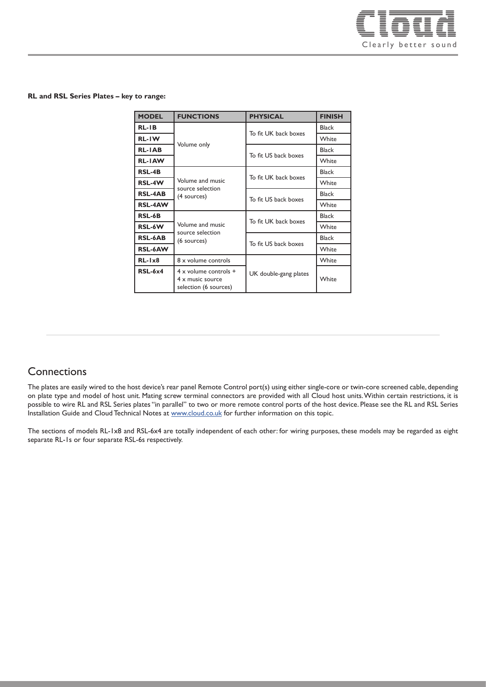

#### **RL and RSL Series Plates – key to range:**

| <b>MODEL</b>   | <b>FUNCTIONS</b>                                                                   | <b>PHYSICAL</b>       | <b>FINISH</b> |
|----------------|------------------------------------------------------------------------------------|-----------------------|---------------|
| $RL-IB$        | Volume only                                                                        | To fit UK back boxes  | Black         |
| <b>RL-IW</b>   |                                                                                    |                       | White         |
| <b>RL-IAB</b>  |                                                                                    | To fit US back boxes  | <b>Black</b>  |
| <b>RL-IAW</b>  |                                                                                    |                       | White         |
| <b>RSL-4B</b>  | Volume and music<br>source selection<br>(4 sources)                                | To fit UK back boxes  | <b>Black</b>  |
| RSL-4W         |                                                                                    |                       | White         |
| <b>RSL-4AB</b> |                                                                                    | To fit US back boxes  | <b>Black</b>  |
| <b>RSL-4AW</b> |                                                                                    |                       | White         |
| <b>RSL-6B</b>  | Volume and music<br>source selection<br>(6 sources)                                | To fit UK back boxes  | Black         |
| RSL-6W         |                                                                                    |                       | White         |
| <b>RSL-6AB</b> |                                                                                    | To fit US back boxes  | <b>Black</b>  |
| <b>RSL-6AW</b> |                                                                                    |                       | White         |
| $RL-1x8$       | 8 x volume controls                                                                |                       | White         |
| $RSL-6x4$      | $4 \times$ volume controls $+$<br>$4 \times$ music source<br>selection (6 sources) | UK double-gang plates | White         |

## **Connections**

The plates are easily wired to the host device's rear panel Remote Control port(s) using either single-core or twin-core screened cable, depending on plate type and model of host unit. Mating screw terminal connectors are provided with all Cloud host units. Within certain restrictions, it is possible to wire RL and RSL Series plates "in parallel" to two or more remote control ports of the host device. Please see the RL and RSL Series Installation Guide and Cloud Technical Notes at [www.cloud.co.uk](http://www.cloud.co.uk) for further information on this topic.

The sections of models RL-1x8 and RSL-6x4 are totally independent of each other: for wiring purposes, these models may be regarded as eight separate RL-1s or four separate RSL-6s respectively.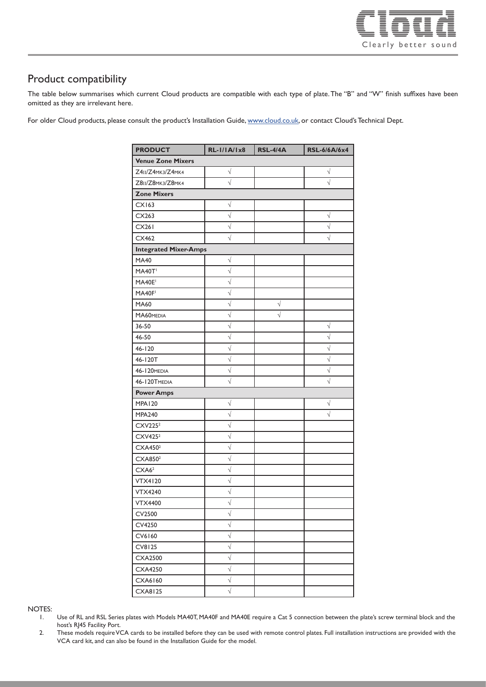

## Product compatibility

The table below summarises which current Cloud products are compatible with each type of plate. The "B" and "W" finish suffixes have been omitted as they are irrelevant here.

For older Cloud products, please consult the product's Installation Guide, [www.cloud.co.uk,](http://www.cloud.co.uk) or contact Cloud's Technical Dept.

| <b>PRODUCT</b>               | <b>RL-I/IA/Ix8</b>    | <b>RSL-4/4A</b> | <b>RSL-6/6A/6x4</b> |  |  |
|------------------------------|-----------------------|-----------------|---------------------|--|--|
| <b>Venue Zone Mixers</b>     |                       |                 |                     |  |  |
| Z4II/Z4MK3/Z4MK4             | $\sqrt{}$             |                 | $\sqrt{}$           |  |  |
| Z8II/Z8MK3/Z8MK4             | $\sqrt{2}$            |                 | $\sqrt{}$           |  |  |
| <b>Zone Mixers</b>           |                       |                 |                     |  |  |
| CX163                        | $\sqrt{}$             |                 |                     |  |  |
| CX263                        | $\sqrt{ }$            |                 | $\sqrt{}$           |  |  |
| <b>CX261</b>                 | $\sqrt{}$             |                 | $\sqrt{}$           |  |  |
| CX462                        | $\sqrt{}$             |                 | V                   |  |  |
| <b>Integrated Mixer-Amps</b> |                       |                 |                     |  |  |
| <b>MA40</b>                  | $\sqrt{}$             |                 |                     |  |  |
| <b>MA40T</b>                 | $\sqrt{ }$            |                 |                     |  |  |
| MA40E                        | $\sqrt{ }$            |                 |                     |  |  |
| MA40F                        | $\sqrt{}$             |                 |                     |  |  |
| MA60                         | $\sqrt{ }$            | $\sqrt{}$       |                     |  |  |
| MA60MEDIA                    | $\sqrt{}$             | $\sqrt{}$       |                     |  |  |
| 36-50                        | $\sqrt{ }$            |                 | $\sqrt{}$           |  |  |
| 46-50                        | $\sqrt{ }$            |                 | $\sqrt{}$           |  |  |
| $46 - 120$                   | $\sqrt{ }$            |                 | $\sqrt{ }$          |  |  |
| 46-120T                      | $\sqrt{ }$            |                 | $\sqrt{}$           |  |  |
| <b>46-120MEDIA</b>           | $\sqrt{2}$            |                 | $\sqrt{}$           |  |  |
| <b>46-120TMEDIA</b>          | $\sqrt{2}$            |                 | $\sqrt{}$           |  |  |
| <b>Power Amps</b>            |                       |                 |                     |  |  |
| <b>MPA120</b>                | $\sqrt{}$             |                 | V                   |  |  |
| <b>MPA240</b>                | $\sqrt{ }$            |                 | $\sqrt{}$           |  |  |
| CXV225 <sup>2</sup>          | $\sqrt{}$             |                 |                     |  |  |
| CXV425 <sup>2</sup>          | $\sqrt{ }$            |                 |                     |  |  |
| CXA450 <sup>2</sup>          | $\sqrt{}$             |                 |                     |  |  |
| CXA850 <sup>2</sup>          | $\sqrt{ }$            |                 |                     |  |  |
| CXA6 <sup>2</sup>            | $\sqrt{ }$            |                 |                     |  |  |
| <b>VTX4120</b>               | $\sqrt{ }$            |                 |                     |  |  |
| <b>VTX4240</b>               | $\sqrt{}$             |                 |                     |  |  |
| <b>VTX4400</b>               | $\overline{\sqrt{ }}$ |                 |                     |  |  |
| CV2500                       | $\sqrt{}$             |                 |                     |  |  |
| CV4250                       | $\overline{\sqrt{ }}$ |                 |                     |  |  |
| CV6160                       | $\sqrt{}$             |                 |                     |  |  |
| CV8125                       | $\sqrt{}$             |                 |                     |  |  |
| CXA2500                      | $\sqrt{ }$            |                 |                     |  |  |
| CXA4250                      | $\sqrt{ }$            |                 |                     |  |  |
| CXA6160                      | $\sqrt{}$             |                 |                     |  |  |
| <b>CXA8125</b>               | $\sqrt{2}$            |                 |                     |  |  |

NOTES:

- 1. Use of RL and RSL Series plates with Models MA40T, MA40F and MA40E require a Cat 5 connection between the plate's screw terminal block and the host's RJ45 Facility Port.
- 2. These models require VCA cards to be installed before they can be used with remote control plates. Full installation instructions are provided with the VCA card kit, and can also be found in the Installation Guide for the model.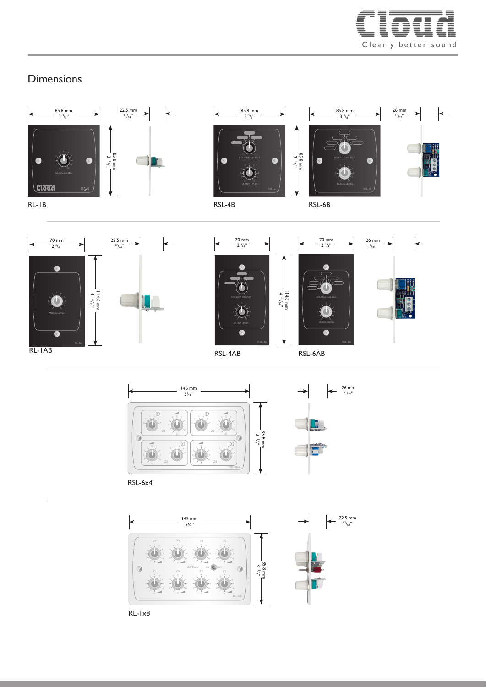

## **Dimensions**







85.8 mm<br> $3 \frac{3}{8}$ " 3 1 7 SOURCE SELECT



70 mm<br> $2 \frac{3}{4}$ " 70 mm<br> $2 \frac{3}{4}$ " 22.5 mm  $\leftarrow$  $\bullet$ . A 114.6 mm 4 33/64" 3 7 3 3 3 3 4 3 4 3 SOURCE SELECT <sup>4</sup> <sup>5</sup> <sup>6</sup>  $3.7 \pm 3.7$ RL-1A RL-1AB



26 mm



146 mm 5¾"  $\overline{z}$ ₽ 4 3 4 9 7 1 1 3  $Z1$   $Z2$ 85.8 mm 3 3 /8"  $3 \cdot 4$   $\begin{array}{ccc} 3 & 4 & \end{array}$   $\begin{array}{ccc} 1 & 2 & 5 & 7 \end{array}$ 4 7 1 2 9 4 7 8 4 2  $2 - 5$  1  $2 - 7$ 5 5 6 6 1 1  $Z3 \sim 24$ RSL-6x4



RL-1x8